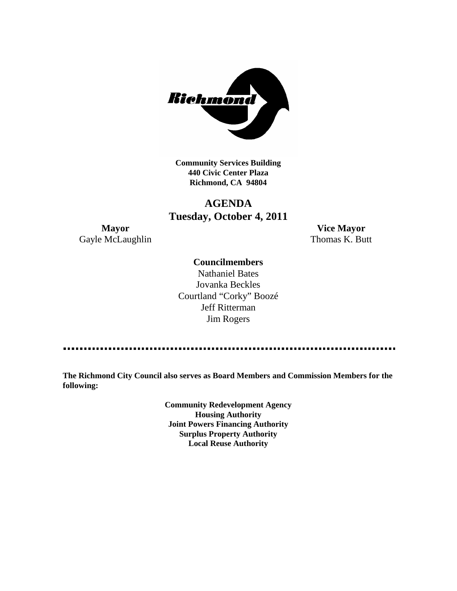

**Community Services Building 440 Civic Center Plaza Richmond, CA 94804**

# **AGENDA Tuesday, October 4, 2011**

Gayle McLaughlin Thomas K. Butt

**Mayor Vice Mayor**

#### **Councilmembers**

Nathaniel Bates Jovanka Beckles Courtland "Corky" Boozé Jeff Ritterman Jim Rogers

**The Richmond City Council also serves as Board Members and Commission Members for the following:**

> **Community Redevelopment Agency Housing Authority Joint Powers Financing Authority Surplus Property Authority Local Reuse Authority**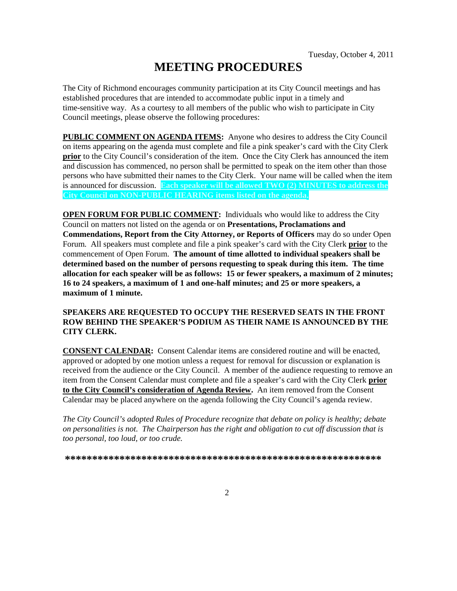# **MEETING PROCEDURES**

The City of Richmond encourages community participation at its City Council meetings and has established procedures that are intended to accommodate public input in a timely and time-sensitive way. As a courtesy to all members of the public who wish to participate in City Council meetings, please observe the following procedures:

**PUBLIC COMMENT ON AGENDA ITEMS:** Anyone who desires to address the City Council on items appearing on the agenda must complete and file a pink speaker's card with the City Clerk **prior** to the City Council's consideration of the item. Once the City Clerk has announced the item and discussion has commenced, no person shall be permitted to speak on the item other than those persons who have submitted their names to the City Clerk. Your name will be called when the item is announced for discussion. **Each speaker will be allowed TWO (2) MINUTES to address the City Council on NON-PUBLIC HEARING items listed on the agenda.**

**OPEN FORUM FOR PUBLIC COMMENT:** Individuals who would like to address the City Council on matters not listed on the agenda or on **Presentations, Proclamations and Commendations, Report from the City Attorney, or Reports of Officers** may do so under Open Forum. All speakers must complete and file a pink speaker's card with the City Clerk **prior** to the commencement of Open Forum. **The amount of time allotted to individual speakers shall be determined based on the number of persons requesting to speak during this item. The time allocation for each speaker will be as follows: 15 or fewer speakers, a maximum of 2 minutes; 16 to 24 speakers, a maximum of 1 and one-half minutes; and 25 or more speakers, a maximum of 1 minute.**

#### **SPEAKERS ARE REQUESTED TO OCCUPY THE RESERVED SEATS IN THE FRONT ROW BEHIND THE SPEAKER'S PODIUM AS THEIR NAME IS ANNOUNCED BY THE CITY CLERK.**

**CONSENT CALENDAR:** Consent Calendar items are considered routine and will be enacted, approved or adopted by one motion unless a request for removal for discussion or explanation is received from the audience or the City Council. A member of the audience requesting to remove an item from the Consent Calendar must complete and file a speaker's card with the City Clerk **prior to the City Council's consideration of Agenda Review.** An item removed from the Consent Calendar may be placed anywhere on the agenda following the City Council's agenda review.

*The City Council's adopted Rules of Procedure recognize that debate on policy is healthy; debate on personalities is not. The Chairperson has the right and obligation to cut off discussion that is too personal, too loud, or too crude.*

**\*\*\*\*\*\*\*\*\*\*\*\*\*\*\*\*\*\*\*\*\*\*\*\*\*\*\*\*\*\*\*\*\*\*\*\*\*\*\*\*\*\*\*\*\*\*\*\*\*\*\*\*\*\*\*\*\*\***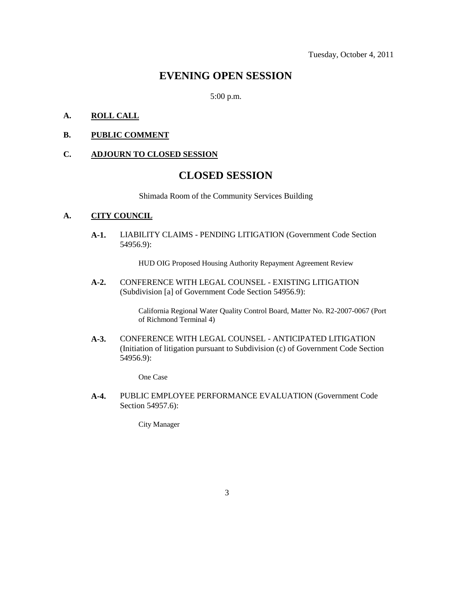### **EVENING OPEN SESSION**

5:00 p.m.

#### **A. ROLL CALL**

**B. PUBLIC COMMENT**

#### **C. ADJOURN TO CLOSED SESSION**

### **CLOSED SESSION**

Shimada Room of the Community Services Building

#### **A. CITY COUNCIL**

**A-1.** LIABILITY CLAIMS - PENDING LITIGATION (Government Code Section 54956.9):

HUD OIG Proposed Housing Authority Repayment Agreement Review

**A-2.** CONFERENCE WITH LEGAL COUNSEL - EXISTING LITIGATION (Subdivision [a] of Government Code Section 54956.9):

> California Regional Water Quality Control Board, Matter No. R2-2007-0067 (Port of Richmond Terminal 4)

**A-3.** CONFERENCE WITH LEGAL COUNSEL - ANTICIPATED LITIGATION (Initiation of litigation pursuant to Subdivision (c) of Government Code Section 54956.9):

One Case

**A-4.** PUBLIC EMPLOYEE PERFORMANCE EVALUATION (Government Code Section 54957.6):

City Manager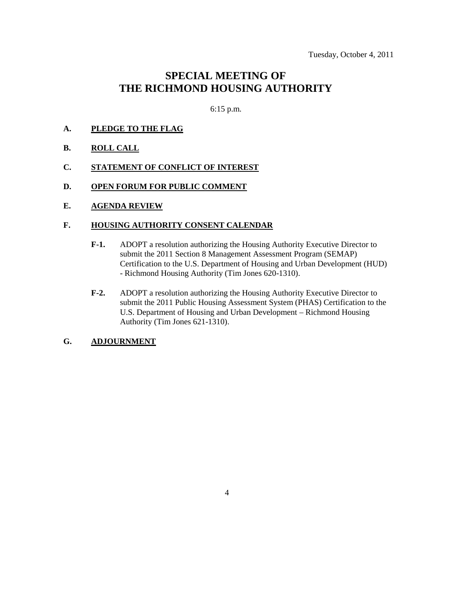## **SPECIAL MEETING OF THE RICHMOND HOUSING AUTHORITY**

6:15 p.m.

- **A. PLEDGE TO THE FLAG**
- **B. ROLL CALL**
- **C. STATEMENT OF CONFLICT OF INTEREST**
- **D. OPEN FORUM FOR PUBLIC COMMENT**
- **E. AGENDA REVIEW**

#### **F. HOUSING AUTHORITY CONSENT CALENDAR**

- **F-1.** ADOPT a resolution authorizing the Housing Authority Executive Director to submit the 2011 Section 8 Management Assessment Program (SEMAP) Certification to the U.S. Department of Housing and Urban Development (HUD) - Richmond Housing Authority (Tim Jones 620-1310).
- **F-2.** ADOPT a resolution authorizing the Housing Authority Executive Director to submit the 2011 Public Housing Assessment System (PHAS) Certification to the U.S. Department of Housing and Urban Development – Richmond Housing Authority (Tim Jones 621-1310).

#### **G. ADJOURNMENT**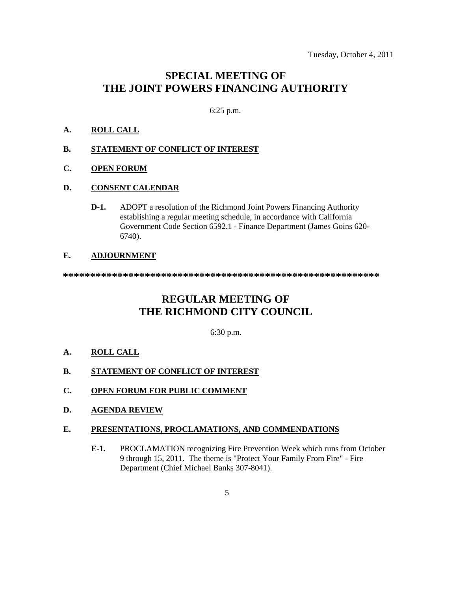### **SPECIAL MEETING OF THE JOINT POWERS FINANCING AUTHORITY**

#### 6:25 p.m.

#### **A. ROLL CALL**

#### **B. STATEMENT OF CONFLICT OF INTEREST**

**C. OPEN FORUM**

#### **D. CONSENT CALENDAR**

**D-1.** ADOPT a resolution of the Richmond Joint Powers Financing Authority establishing a regular meeting schedule, in accordance with California Government Code Section 6592.1 - Finance Department (James Goins 620- 6740).

#### **E. ADJOURNMENT**

**\*\*\*\*\*\*\*\*\*\*\*\*\*\*\*\*\*\*\*\*\*\*\*\*\*\*\*\*\*\*\*\*\*\*\*\*\*\*\*\*\*\*\*\*\*\*\*\*\*\*\*\*\*\*\*\*\*\***

## **REGULAR MEETING OF THE RICHMOND CITY COUNCIL**

6:30 p.m.

**A. ROLL CALL**

#### **B. STATEMENT OF CONFLICT OF INTEREST**

- **C. OPEN FORUM FOR PUBLIC COMMENT**
- **D. AGENDA REVIEW**

#### **E. PRESENTATIONS, PROCLAMATIONS, AND COMMENDATIONS**

**E-1.** PROCLAMATION recognizing Fire Prevention Week which runs from October 9 through 15, 2011. The theme is "Protect Your Family From Fire" - Fire Department (Chief Michael Banks 307-8041).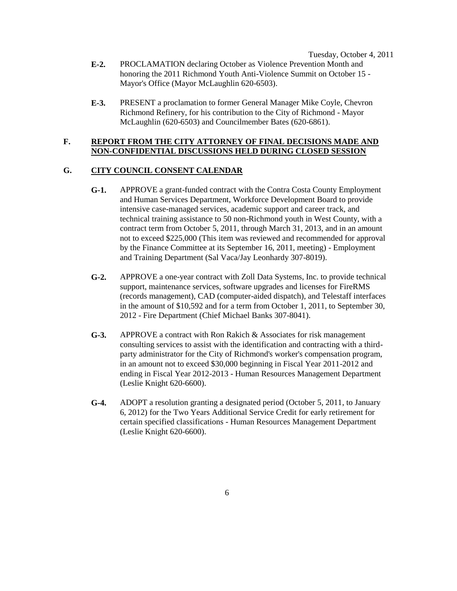Tuesday, October 4, 2011

- **E-2.** PROCLAMATION declaring October as Violence Prevention Month and honoring the 2011 Richmond Youth Anti-Violence Summit on October 15 - Mayor's Office (Mayor McLaughlin 620-6503).
- **E-3.** PRESENT a proclamation to former General Manager Mike Coyle, Chevron Richmond Refinery, for his contribution to the City of Richmond - Mayor McLaughlin (620-6503) and Councilmember Bates (620-6861).

#### **F. REPORT FROM THE CITY ATTORNEY OF FINAL DECISIONS MADE AND NON-CONFIDENTIAL DISCUSSIONS HELD DURING CLOSED SESSION**

#### **G. CITY COUNCIL CONSENT CALENDAR**

- **G-1.** APPROVE a grant-funded contract with the Contra Costa County Employment and Human Services Department, Workforce Development Board to provide intensive case-managed services, academic support and career track, and technical training assistance to 50 non-Richmond youth in West County, with a contract term from October 5, 2011, through March 31, 2013, and in an amount not to exceed \$225,000 (This item was reviewed and recommended for approval by the Finance Committee at its September 16, 2011, meeting) - Employment and Training Department (Sal Vaca/Jay Leonhardy 307-8019).
- **G-2.** APPROVE a one-year contract with Zoll Data Systems, Inc. to provide technical support, maintenance services, software upgrades and licenses for FireRMS (records management), CAD (computer-aided dispatch), and Telestaff interfaces in the amount of \$10,592 and for a term from October 1, 2011, to September 30, 2012 - Fire Department (Chief Michael Banks 307-8041).
- **G-3.** APPROVE a contract with Ron Rakich & Associates for risk management consulting services to assist with the identification and contracting with a thirdparty administrator for the City of Richmond's worker's compensation program, in an amount not to exceed \$30,000 beginning in Fiscal Year 2011-2012 and ending in Fiscal Year 2012-2013 - Human Resources Management Department (Leslie Knight 620-6600).
- **G-4.** ADOPT a resolution granting a designated period (October 5, 2011, to January 6, 2012) for the Two Years Additional Service Credit for early retirement for certain specified classifications - Human Resources Management Department (Leslie Knight 620-6600).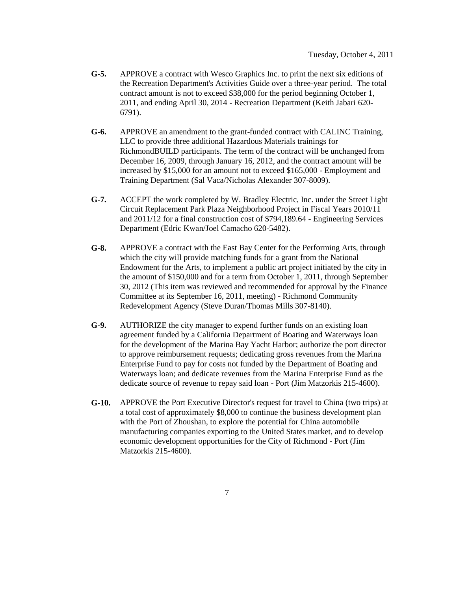- **G-5.** APPROVE a contract with Wesco Graphics Inc. to print the next six editions of the Recreation Department's Activities Guide over a three-year period. The total contract amount is not to exceed \$38,000 for the period beginning October 1, 2011, and ending April 30, 2014 - Recreation Department (Keith Jabari 620- 6791).
- **G-6.** APPROVE an amendment to the grant-funded contract with CALINC Training, LLC to provide three additional Hazardous Materials trainings for RichmondBUILD participants. The term of the contract will be unchanged from December 16, 2009, through January 16, 2012, and the contract amount will be increased by \$15,000 for an amount not to exceed \$165,000 - Employment and Training Department (Sal Vaca/Nicholas Alexander 307-8009).
- **G-7.** ACCEPT the work completed by W. Bradley Electric, Inc. under the Street Light Circuit Replacement Park Plaza Neighborhood Project in Fiscal Years 2010/11 and 2011/12 for a final construction cost of \$794,189.64 - Engineering Services Department (Edric Kwan/Joel Camacho 620-5482).
- **G-8.** APPROVE a contract with the East Bay Center for the Performing Arts, through which the city will provide matching funds for a grant from the National Endowment for the Arts, to implement a public art project initiated by the city in the amount of \$150,000 and for a term from October 1, 2011, through September 30, 2012 (This item was reviewed and recommended for approval by the Finance Committee at its September 16, 2011, meeting) - Richmond Community Redevelopment Agency (Steve Duran/Thomas Mills 307-8140).
- **G-9.** AUTHORIZE the city manager to expend further funds on an existing loan agreement funded by a California Department of Boating and Waterways loan for the development of the Marina Bay Yacht Harbor; authorize the port director to approve reimbursement requests; dedicating gross revenues from the Marina Enterprise Fund to pay for costs not funded by the Department of Boating and Waterways loan; and dedicate revenues from the Marina Enterprise Fund as the dedicate source of revenue to repay said loan - Port (Jim Matzorkis 215-4600).
- **G-10.** APPROVE the Port Executive Director's request for travel to China (two trips) at a total cost of approximately \$8,000 to continue the business development plan with the Port of Zhoushan, to explore the potential for China automobile manufacturing companies exporting to the United States market, and to develop economic development opportunities for the City of Richmond - Port (Jim Matzorkis 215-4600).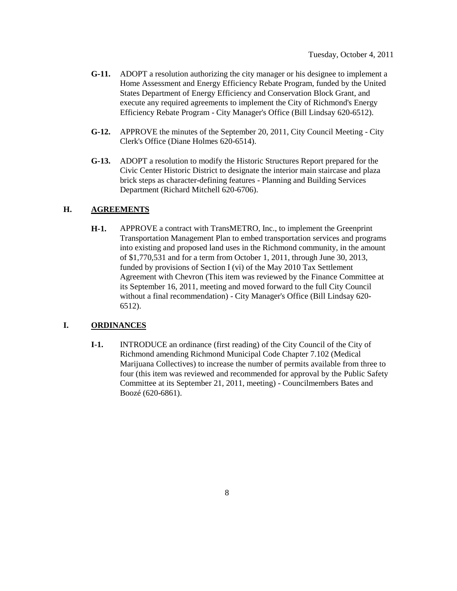- **G-11.** ADOPT a resolution authorizing the city manager or his designee to implement a Home Assessment and Energy Efficiency Rebate Program, funded by the United States Department of Energy Efficiency and Conservation Block Grant, and execute any required agreements to implement the City of Richmond's Energy Efficiency Rebate Program - City Manager's Office (Bill Lindsay 620-6512).
- **G-12.** APPROVE the minutes of the September 20, 2011, City Council Meeting City Clerk's Office (Diane Holmes 620-6514).
- **G-13.** ADOPT a resolution to modify the Historic Structures Report prepared for the Civic Center Historic District to designate the interior main staircase and plaza brick steps as character-defining features - Planning and Building Services Department (Richard Mitchell 620-6706).

#### **H. AGREEMENTS**

**H-1.** APPROVE a contract with TransMETRO, Inc., to implement the Greenprint Transportation Management Plan to embed transportation services and programs into existing and proposed land uses in the Richmond community, in the amount of \$1,770,531 and for a term from October 1, 2011, through June 30, 2013, funded by provisions of Section I (vi) of the May 2010 Tax Settlement Agreement with Chevron (This item was reviewed by the Finance Committee at its September 16, 2011, meeting and moved forward to the full City Council without a final recommendation) - City Manager's Office (Bill Lindsay 620- 6512).

#### **I. ORDINANCES**

**I-1.** INTRODUCE an ordinance (first reading) of the City Council of the City of Richmond amending Richmond Municipal Code Chapter 7.102 (Medical Marijuana Collectives) to increase the number of permits available from three to four (this item was reviewed and recommended for approval by the Public Safety Committee at its September 21, 2011, meeting) - Councilmembers Bates and Boozé (620-6861).